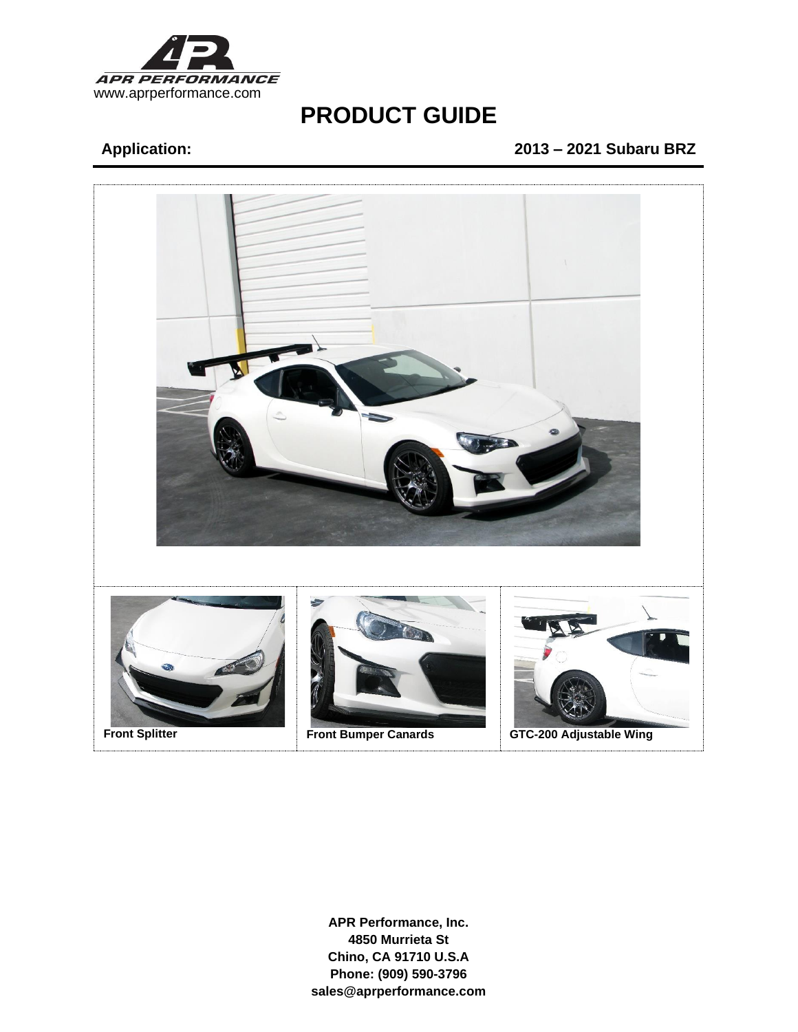

## **Application: 2013 – 2021 Subaru BRZ**

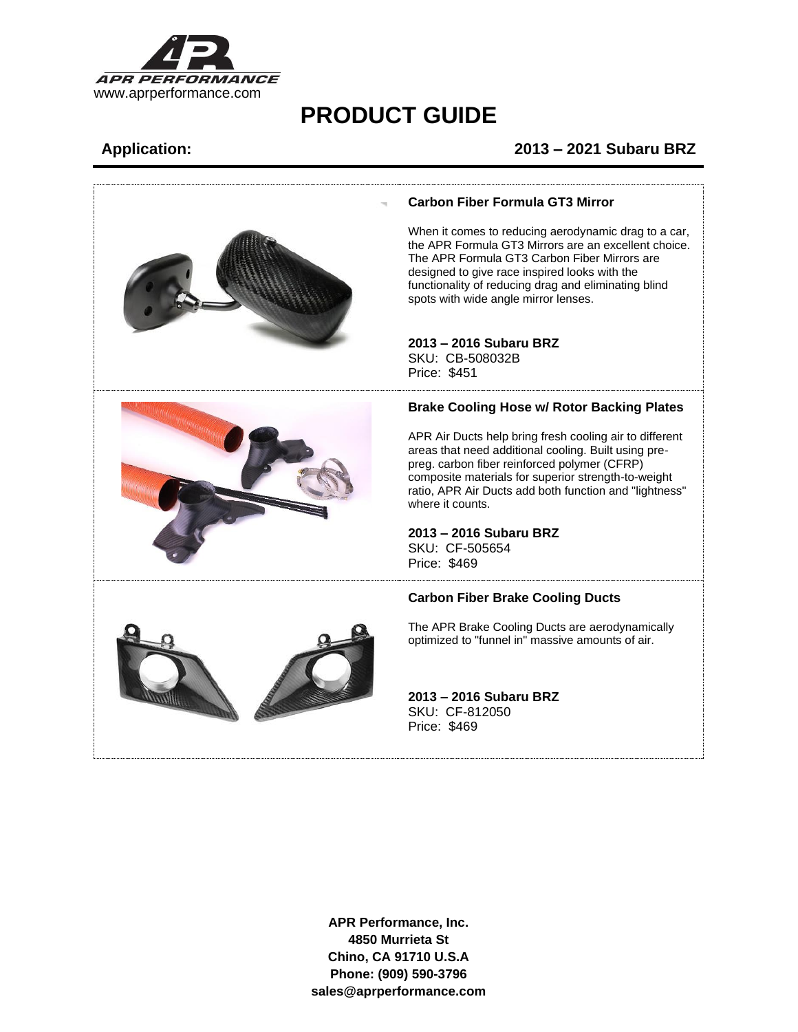

### **Application: 2013 – 2021 Subaru BRZ**

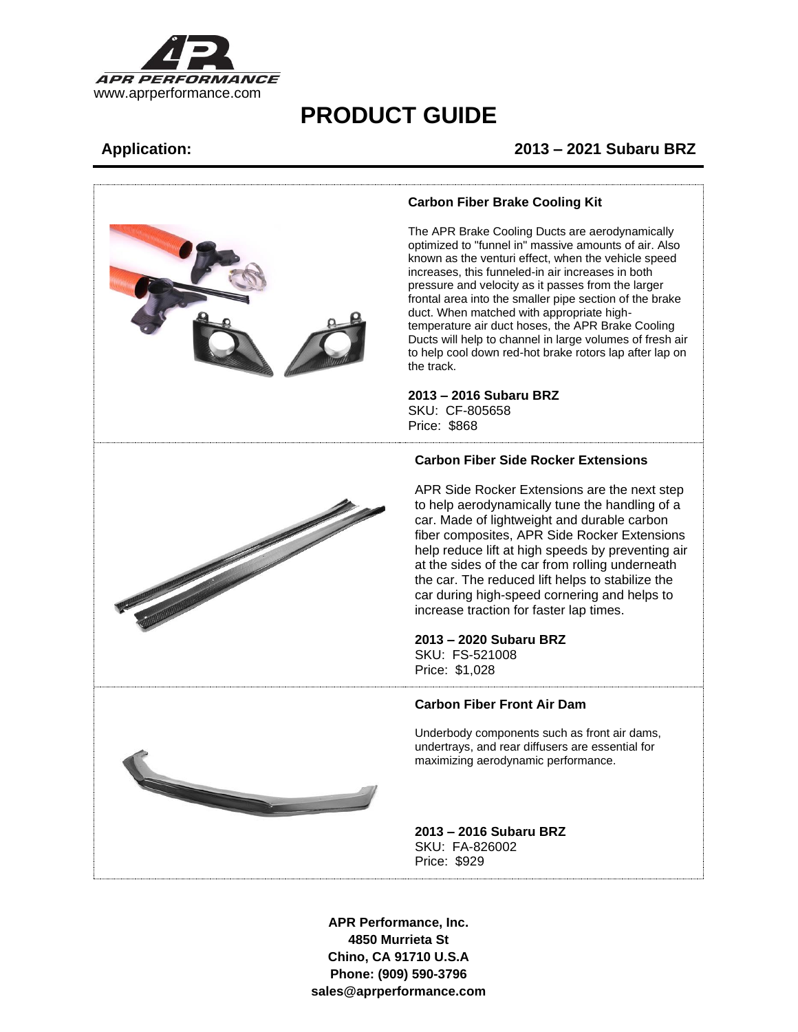

### **Application: 2013 – 2021 Subaru BRZ**



### **Carbon Fiber Brake Cooling Kit**

The APR Brake Cooling Ducts are aerodynamically optimized to "funnel in" massive amounts of air. Also known as the venturi effect, when the vehicle speed increases, this funneled-in air increases in both pressure and velocity as it passes from the larger frontal area into the smaller pipe section of the brake duct. When matched with appropriate hightemperature air duct hoses, the APR Brake Cooling Ducts will help to channel in large volumes of fresh air to help cool down red-hot brake rotors lap after lap on

## **2013 – 2016 Subaru BRZ** SKU: CF-805658

### **Carbon Fiber Side Rocker Extensions**

APR Side Rocker Extensions are the next step to help aerodynamically tune the handling of a car. Made of lightweight and durable carbon fiber composites, APR Side Rocker Extensions help reduce lift at high speeds by preventing air at the sides of the car from rolling underneath the car. The reduced lift helps to stabilize the car during high-speed cornering and helps to increase traction for faster lap times.

**2013 – 2020 Subaru BRZ** SKU: FS-521008

### **Carbon Fiber Front Air Dam**

Underbody components such as front air dams, undertrays, and rear diffusers are essential for maximizing aerodynamic performance.

**2013 – 2016 Subaru BRZ** SKU: FA-826002 Price: \$929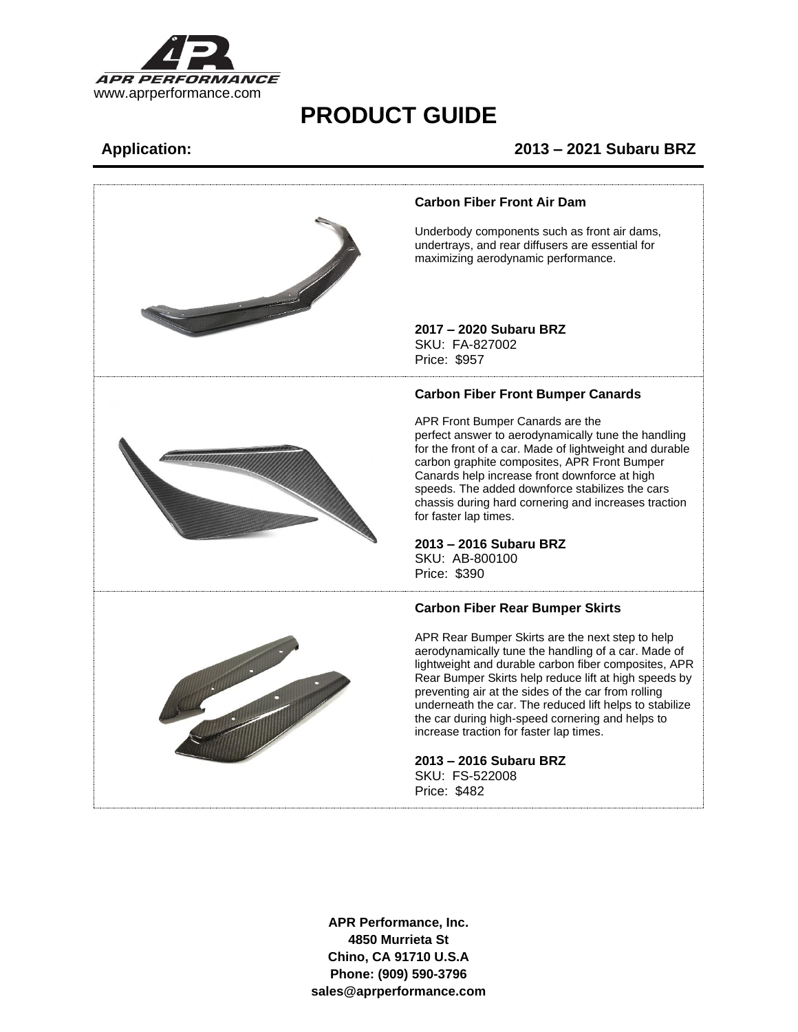

### **Application: 2013 – 2021 Subaru BRZ**

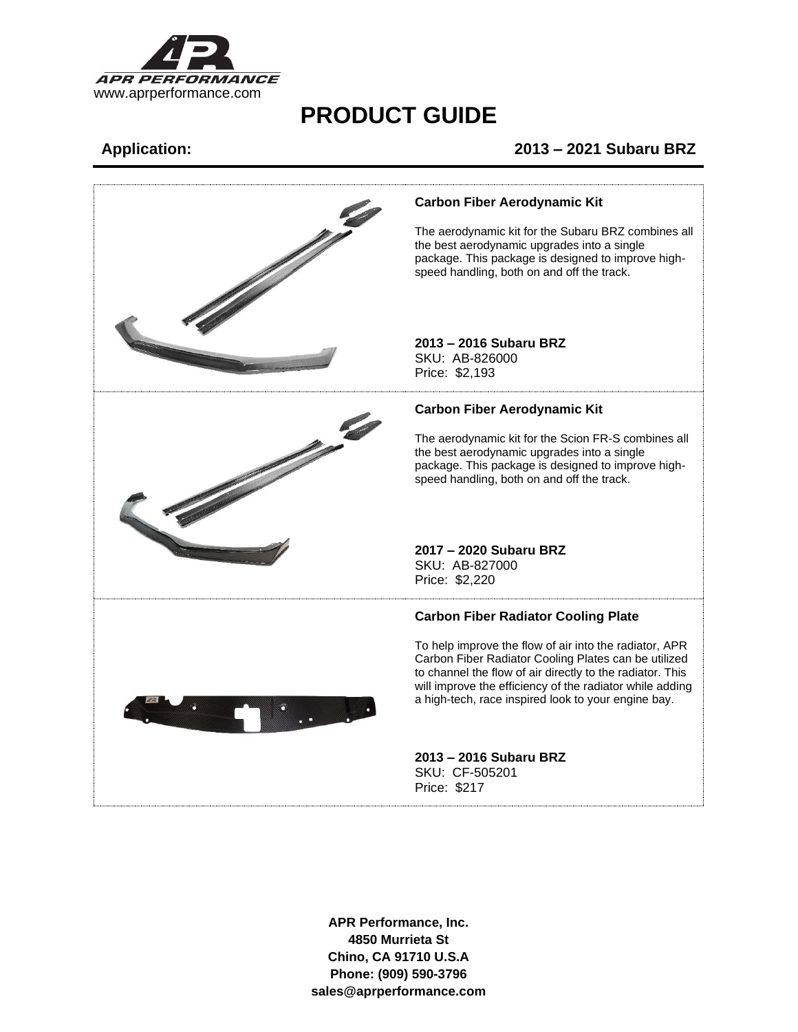

### **Application: 2013 – 2021 Subaru BRZ**

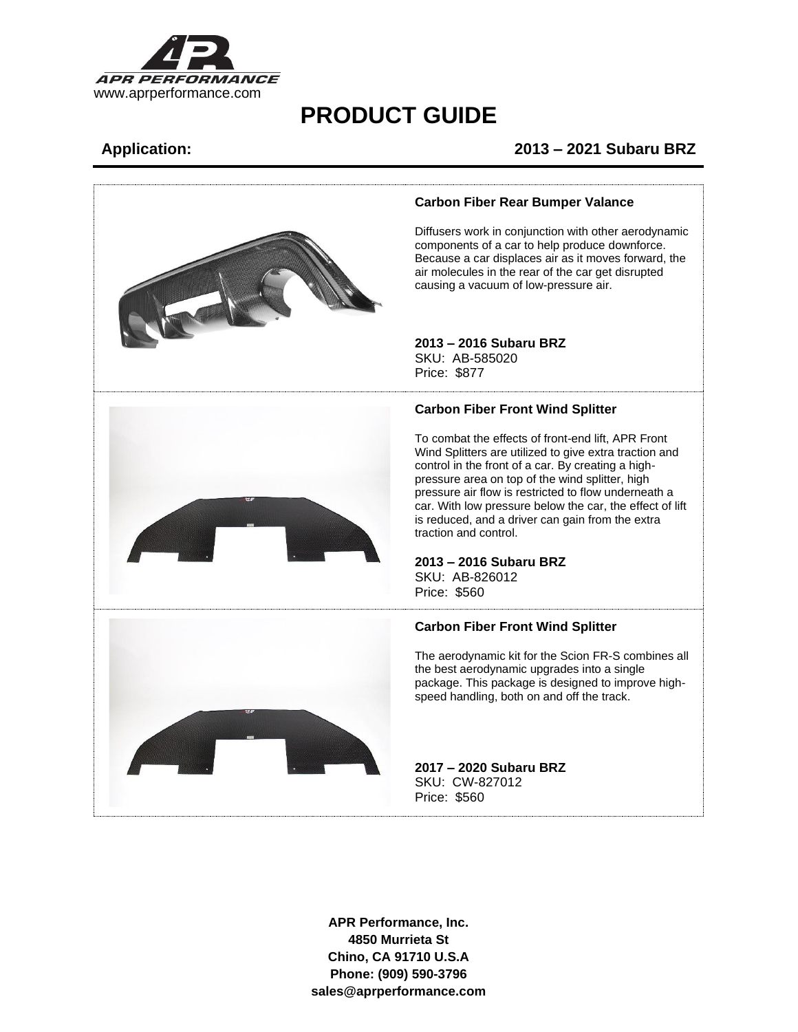

### **Application: 2013 – 2021 Subaru BRZ**

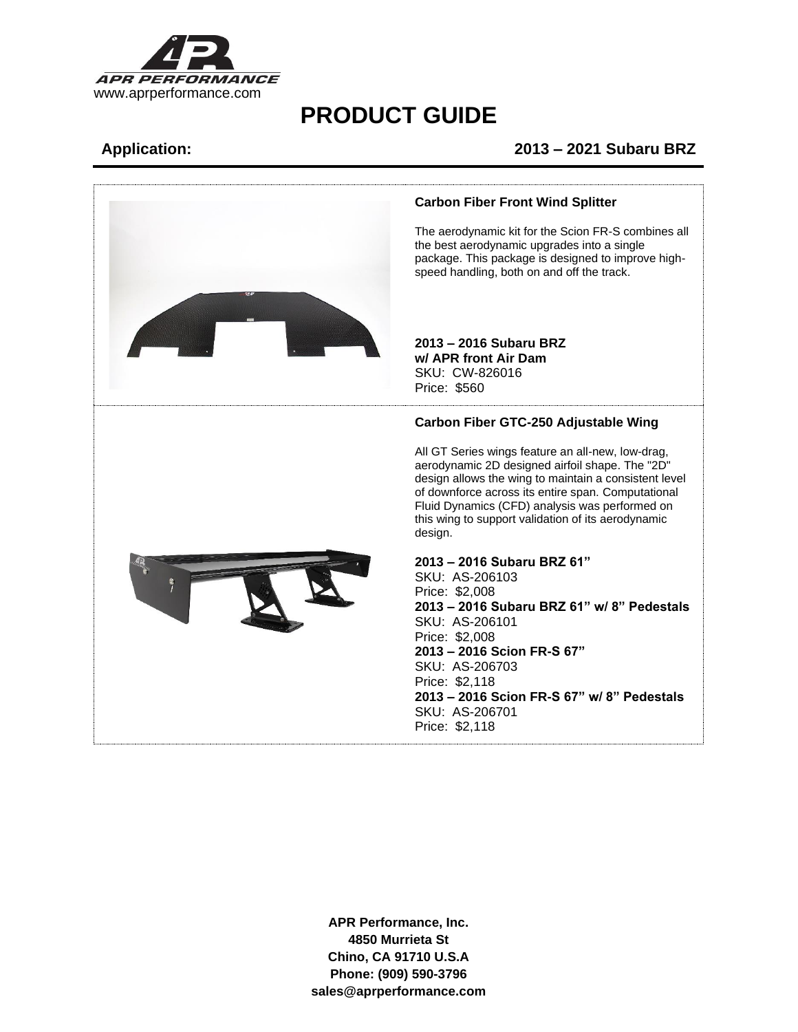

### **Application: 2013 – 2021 Subaru BRZ**